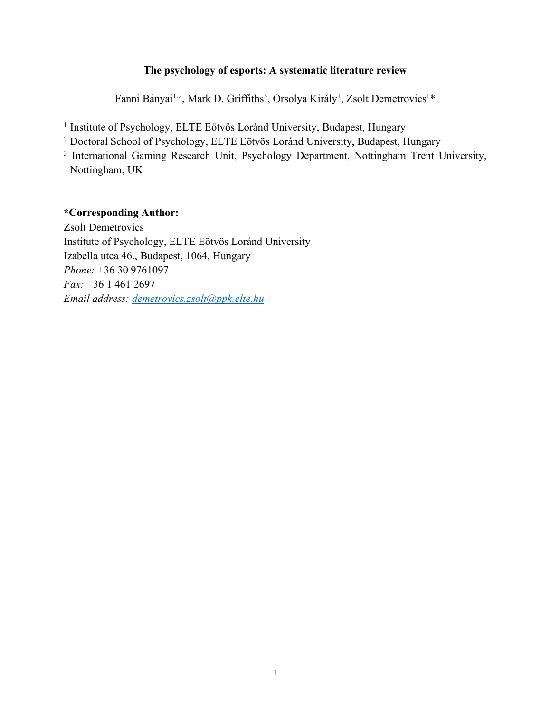# **The psychology of esports: A systematic literature review**

Fanni Bányai<sup>1,2</sup>, Mark D. Griffiths<sup>3</sup>, Orsolya Király<sup>1</sup>, Zsolt Demetrovics<sup>1\*</sup>

<sup>1</sup> Institute of Psychology, ELTE Eötvös Loránd University, Budapest, Hungary

<sup>2</sup> Doctoral School of Psychology, ELTE Eötvös Loránd University, Budapest, Hungary

<sup>3</sup> International Gaming Research Unit, Psychology Department, Nottingham Trent University, Nottingham, UK

# **\*Corresponding Author:**

Zsolt Demetrovics Institute of Psychology, ELTE Eötvös Loránd University Izabella utca 46., Budapest, 1064, Hungary *Phone:* +36 30 9761097 *Fax:* +36 1 461 2697 *Email address: demetrovics.zsolt@ppk.elte.hu*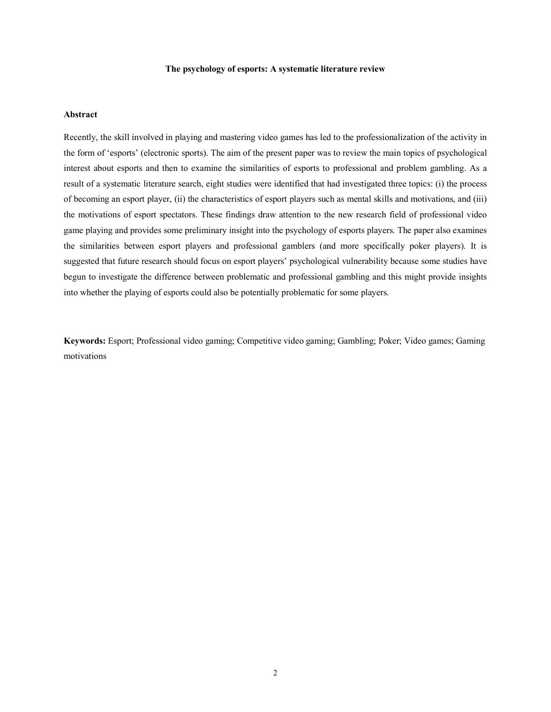# **The psychology of esports: A systematic literature review**

# **Abstract**

Recently, the skill involved in playing and mastering video games has led to the professionalization of the activity in the form of 'esports' (electronic sports). The aim of the present paper was to review the main topics of psychological interest about esports and then to examine the similarities of esports to professional and problem gambling. As a result of a systematic literature search, eight studies were identified that had investigated three topics: (i) the process of becoming an esport player, (ii) the characteristics of esport players such as mental skills and motivations, and (iii) the motivations of esport spectators. These findings draw attention to the new research field of professional video game playing and provides some preliminary insight into the psychology of esports players. The paper also examines the similarities between esport players and professional gamblers (and more specifically poker players). It is suggested that future research should focus on esport players' psychological vulnerability because some studies have begun to investigate the difference between problematic and professional gambling and this might provide insights into whether the playing of esports could also be potentially problematic for some players.

**Keywords:** Esport; Professional video gaming; Competitive video gaming; Gambling; Poker; Video games; Gaming motivations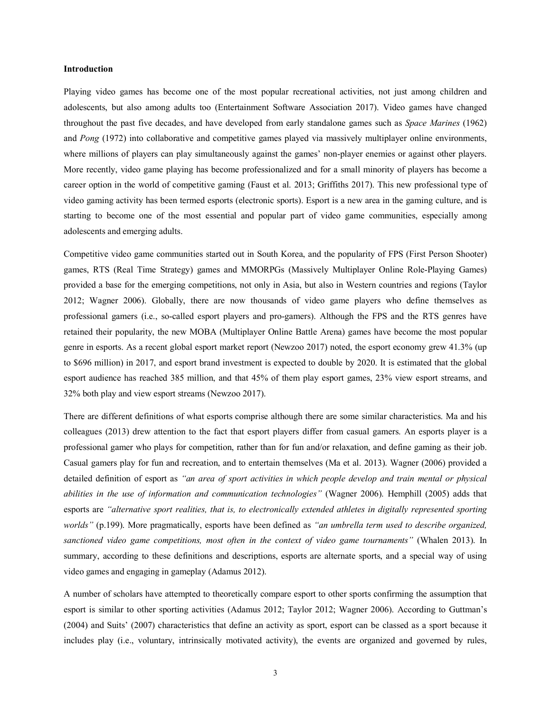# **Introduction**

Playing video games has become one of the most popular recreational activities, not just among children and adolescents, but also among adults too (Entertainment Software Association 2017). Video games have changed throughout the past five decades, and have developed from early standalone games such as *Space Marines* (1962) and *Pong* (1972) into collaborative and competitive games played via massively multiplayer online environments, where millions of players can play simultaneously against the games' non-player enemies or against other players. More recently, video game playing has become professionalized and for a small minority of players has become a career option in the world of competitive gaming (Faust et al. 2013; Griffiths 2017). This new professional type of video gaming activity has been termed esports (electronic sports). Esport is a new area in the gaming culture, and is starting to become one of the most essential and popular part of video game communities, especially among adolescents and emerging adults.

Competitive video game communities started out in South Korea, and the popularity of FPS (First Person Shooter) games, RTS (Real Time Strategy) games and MMORPGs (Massively Multiplayer Online Role-Playing Games) provided a base for the emerging competitions, not only in Asia, but also in Western countries and regions (Taylor 2012; Wagner 2006). Globally, there are now thousands of video game players who define themselves as professional gamers (i.e., so-called esport players and pro-gamers). Although the FPS and the RTS genres have retained their popularity, the new MOBA (Multiplayer Online Battle Arena) games have become the most popular genre in esports. As a recent global esport market report (Newzoo 2017) noted, the esport economy grew 41.3% (up to \$696 million) in 2017, and esport brand investment is expected to double by 2020. It is estimated that the global esport audience has reached 385 million, and that 45% of them play esport games, 23% view esport streams, and 32% both play and view esport streams (Newzoo 2017).

There are different definitions of what esports comprise although there are some similar characteristics. Ma and his colleagues (2013) drew attention to the fact that esport players differ from casual gamers. An esports player is a professional gamer who plays for competition, rather than for fun and/or relaxation, and define gaming as their job. Casual gamers play for fun and recreation, and to entertain themselves (Ma et al. 2013). Wagner (2006) provided a detailed definition of esport as *"an area of sport activities in which people develop and train mental or physical abilities in the use of information and communication technologies"* (Wagner 2006). Hemphill (2005) adds that esports are *"alternative sport realities, that is, to electronically extended athletes in digitally represented sporting worlds"* (p.199). More pragmatically, esports have been defined as *"an umbrella term used to describe organized, sanctioned video game competitions, most often in the context of video game tournaments"* (Whalen 2013). In summary, according to these definitions and descriptions, esports are alternate sports, and a special way of using video games and engaging in gameplay (Adamus 2012).

A number of scholars have attempted to theoretically compare esport to other sports confirming the assumption that esport is similar to other sporting activities (Adamus 2012; Taylor 2012; Wagner 2006). According to Guttman's (2004) and Suits' (2007) characteristics that define an activity as sport, esport can be classed as a sport because it includes play (i.e., voluntary, intrinsically motivated activity), the events are organized and governed by rules,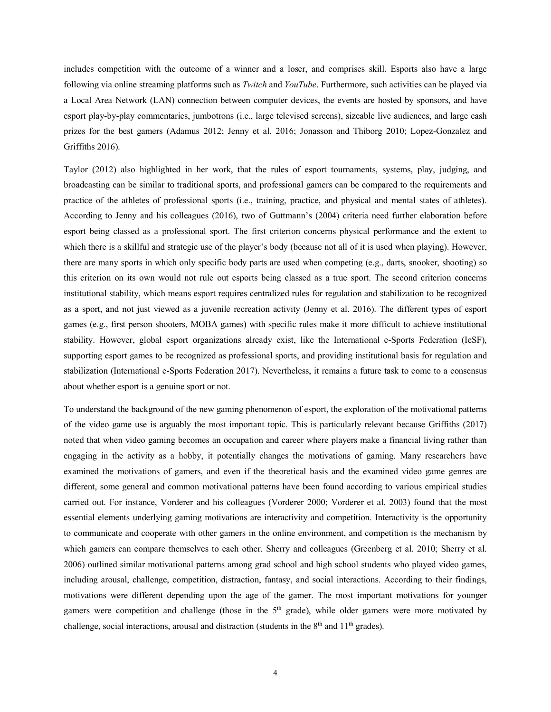includes competition with the outcome of a winner and a loser, and comprises skill. Esports also have a large following via online streaming platforms such as *Twitch* and *YouTube*. Furthermore, such activities can be played via a Local Area Network (LAN) connection between computer devices, the events are hosted by sponsors, and have esport play-by-play commentaries, jumbotrons (i.e., large televised screens), sizeable live audiences, and large cash prizes for the best gamers (Adamus 2012; Jenny et al. 2016; Jonasson and Thiborg 2010; Lopez-Gonzalez and Griffiths 2016).

Taylor (2012) also highlighted in her work, that the rules of esport tournaments, systems, play, judging, and broadcasting can be similar to traditional sports, and professional gamers can be compared to the requirements and practice of the athletes of professional sports (i.e., training, practice, and physical and mental states of athletes). According to Jenny and his colleagues (2016), two of Guttmann's (2004) criteria need further elaboration before esport being classed as a professional sport. The first criterion concerns physical performance and the extent to which there is a skillful and strategic use of the player's body (because not all of it is used when playing). However, there are many sports in which only specific body parts are used when competing (e.g., darts, snooker, shooting) so this criterion on its own would not rule out esports being classed as a true sport. The second criterion concerns institutional stability, which means esport requires centralized rules for regulation and stabilization to be recognized as a sport, and not just viewed as a juvenile recreation activity (Jenny et al. 2016). The different types of esport games (e.g., first person shooters, MOBA games) with specific rules make it more difficult to achieve institutional stability. However, global esport organizations already exist, like the International e-Sports Federation (IeSF), supporting esport games to be recognized as professional sports, and providing institutional basis for regulation and stabilization (International e-Sports Federation 2017). Nevertheless, it remains a future task to come to a consensus about whether esport is a genuine sport or not.

To understand the background of the new gaming phenomenon of esport, the exploration of the motivational patterns of the video game use is arguably the most important topic. This is particularly relevant because Griffiths (2017) noted that when video gaming becomes an occupation and career where players make a financial living rather than engaging in the activity as a hobby, it potentially changes the motivations of gaming. Many researchers have examined the motivations of gamers, and even if the theoretical basis and the examined video game genres are different, some general and common motivational patterns have been found according to various empirical studies carried out. For instance, Vorderer and his colleagues (Vorderer 2000; Vorderer et al. 2003) found that the most essential elements underlying gaming motivations are interactivity and competition. Interactivity is the opportunity to communicate and cooperate with other gamers in the online environment, and competition is the mechanism by which gamers can compare themselves to each other. Sherry and colleagues (Greenberg et al. 2010; Sherry et al. 2006) outlined similar motivational patterns among grad school and high school students who played video games, including arousal, challenge, competition, distraction, fantasy, and social interactions. According to their findings, motivations were different depending upon the age of the gamer. The most important motivations for younger gamers were competition and challenge (those in the  $5<sup>th</sup>$  grade), while older gamers were more motivated by challenge, social interactions, arousal and distraction (students in the  $8<sup>th</sup>$  and  $11<sup>th</sup>$  grades).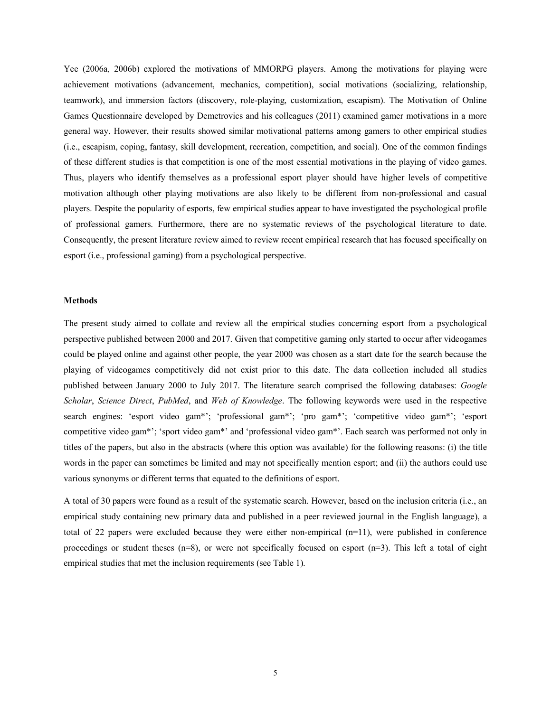Yee (2006a, 2006b) explored the motivations of MMORPG players. Among the motivations for playing were achievement motivations (advancement, mechanics, competition), social motivations (socializing, relationship, teamwork), and immersion factors (discovery, role-playing, customization, escapism). The Motivation of Online Games Questionnaire developed by Demetrovics and his colleagues (2011) examined gamer motivations in a more general way. However, their results showed similar motivational patterns among gamers to other empirical studies (i.e., escapism, coping, fantasy, skill development, recreation, competition, and social). One of the common findings of these different studies is that competition is one of the most essential motivations in the playing of video games. Thus, players who identify themselves as a professional esport player should have higher levels of competitive motivation although other playing motivations are also likely to be different from non-professional and casual players. Despite the popularity of esports, few empirical studies appear to have investigated the psychological profile of professional gamers. Furthermore, there are no systematic reviews of the psychological literature to date. Consequently, the present literature review aimed to review recent empirical research that has focused specifically on esport (i.e., professional gaming) from a psychological perspective.

#### **Methods**

The present study aimed to collate and review all the empirical studies concerning esport from a psychological perspective published between 2000 and 2017. Given that competitive gaming only started to occur after videogames could be played online and against other people, the year 2000 was chosen as a start date for the search because the playing of videogames competitively did not exist prior to this date. The data collection included all studies published between January 2000 to July 2017. The literature search comprised the following databases: *Google Scholar*, *Science Direct*, *PubMed*, and *Web of Knowledge*. The following keywords were used in the respective search engines: 'esport video gam\*'; 'professional gam\*'; 'pro gam\*'; 'competitive video gam\*'; 'esport competitive video gam\*'; 'sport video gam\*' and 'professional video gam\*'. Each search was performed not only in titles of the papers, but also in the abstracts (where this option was available) for the following reasons: (i) the title words in the paper can sometimes be limited and may not specifically mention esport; and (ii) the authors could use various synonyms or different terms that equated to the definitions of esport.

A total of 30 papers were found as a result of the systematic search. However, based on the inclusion criteria (i.e., an empirical study containing new primary data and published in a peer reviewed journal in the English language), a total of 22 papers were excluded because they were either non-empirical (n=11), were published in conference proceedings or student theses  $(n=8)$ , or were not specifically focused on esport  $(n=3)$ . This left a total of eight empirical studies that met the inclusion requirements (see Table 1).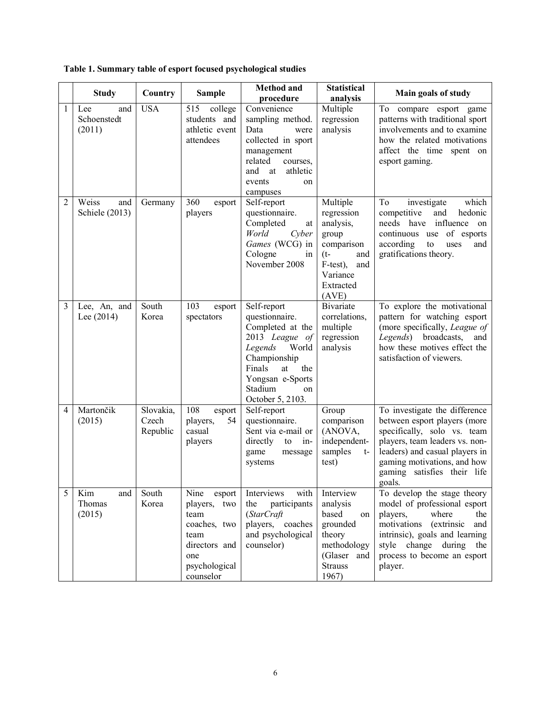**Table 1. Summary table of esport focused psychological studies** 

|   | <b>Study</b>                        | Country                        | <b>Sample</b>                                                                                                        | <b>Method</b> and<br>procedure                                                                                                                                                          | <b>Statistical</b><br>analysis                                                                                                  | Main goals of study                                                                                                                                                                                                                          |
|---|-------------------------------------|--------------------------------|----------------------------------------------------------------------------------------------------------------------|-----------------------------------------------------------------------------------------------------------------------------------------------------------------------------------------|---------------------------------------------------------------------------------------------------------------------------------|----------------------------------------------------------------------------------------------------------------------------------------------------------------------------------------------------------------------------------------------|
| 1 | Lee<br>and<br>Schoenstedt<br>(2011) | <b>USA</b>                     | 515<br>college<br>students and<br>athletic event<br>attendees                                                        | Convenience<br>sampling method.<br>Data<br>were<br>collected in sport<br>management<br>related<br>courses,<br>athletic<br>and<br>at<br>events<br>on<br>campuses                         | Multiple<br>regression<br>analysis                                                                                              | To<br>compare esport game<br>patterns with traditional sport<br>involvements and to examine<br>how the related motivations<br>affect the time spent on<br>esport gaming.                                                                     |
| 2 | Weiss<br>and<br>Schiele (2013)      | Germany                        | 360<br>esport<br>players                                                                                             | Self-report<br>questionnaire.<br>Completed<br>at<br>World<br>Cyber<br>Games (WCG) in<br>Cologne<br>in<br>November 2008                                                                  | Multiple<br>regression<br>analysis,<br>group<br>comparison<br>$(t-$<br>and<br>F-test),<br>and<br>Variance<br>Extracted<br>(AVE) | which<br>investigate<br>To<br>competitive<br>hedonic<br>and<br>needs have influence<br>on<br>of esports<br>continuous use<br>according<br>to<br>uses<br>and<br>gratifications theory.                                                        |
| 3 | Lee, An, and<br>Lee $(2014)$        | South<br>Korea                 | 103<br>esport<br>spectators                                                                                          | Self-report<br>questionnaire.<br>Completed at the<br>2013 League of<br>Legends<br>World<br>Championship<br>Finals<br>at<br>the<br>Yongsan e-Sports<br>Stadium<br>on<br>October 5, 2103. | <b>Bivariate</b><br>correlations,<br>multiple<br>regression<br>analysis                                                         | To explore the motivational<br>pattern for watching esport<br>(more specifically, League of<br>Legends) broadcasts,<br>and<br>how these motives effect the<br>satisfaction of viewers.                                                       |
| 4 | Martončik<br>(2015)                 | Slovakia,<br>Czech<br>Republic | 108<br>esport<br>players,<br>54<br>casual<br>players                                                                 | Self-report<br>questionnaire.<br>Sent via e-mail or<br>directly to<br>$in-$<br>game<br>message<br>systems                                                                               | Group<br>comparison<br>(ANOVA,<br>independent-<br>samples<br>t-<br>test)                                                        | To investigate the difference<br>between esport players (more<br>specifically, solo vs. team<br>players, team leaders vs. non-<br>leaders) and casual players in<br>gaming motivations, and how<br>gaming satisfies their life<br>goals.     |
| 5 | Kim<br>and<br>Thomas<br>(2015)      | South<br>Korea                 | Nine<br>esport<br>players, two<br>team<br>coaches, two<br>team<br>directors and<br>one<br>psychological<br>counselor | Interviews<br>with<br>the<br>participants<br>(StarCraft<br>players, coaches<br>and psychological<br>counselor)                                                                          | Interview<br>analysis<br>based<br>on<br>grounded<br>theory<br>methodology<br>(Glaser and<br><b>Strauss</b><br>1967)             | To develop the stage theory<br>model of professional esport<br>players,<br>where<br>the<br>motivations<br><i>(extrinsic</i><br>and<br>intrinsic), goals and learning<br>style change during<br>the<br>process to become an esport<br>player. |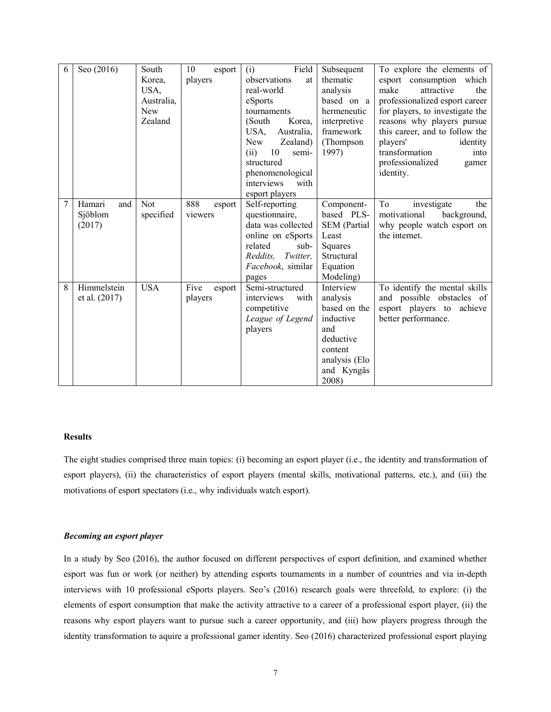| 6 | Seo (2016)    | South      | 10<br>esport   | Field<br>(i)                | Subsequent          | To explore the elements of      |
|---|---------------|------------|----------------|-----------------------------|---------------------|---------------------------------|
|   |               | Korea,     | players        | observations<br>at          | thematic            | esport consumption<br>which     |
|   |               | USA,       |                | real-world                  | analysis            | make<br>attractive<br>the       |
|   |               | Australia, |                | eSports                     | based on a          | professionalized esport career  |
|   |               | <b>New</b> |                | tournaments                 | hermeneutic         | for players, to investigate the |
|   |               | Zealand    |                | (South<br>Korea,            | interpretive        | reasons why players pursue      |
|   |               |            |                | USA,<br>Australia,          | framework           | this career, and to follow the  |
|   |               |            |                | <b>New</b><br>Zealand)      | (Thompson           | players'<br>identity            |
|   |               |            |                | 10<br>(ii)<br>semi-         | 1997)               | transformation<br>into          |
|   |               |            |                | structured                  |                     | professionalized<br>gamer       |
|   |               |            |                | phenomenological            |                     | identity.                       |
|   |               |            |                | with<br>interviews          |                     |                                 |
|   |               |            |                | esport players              |                     |                                 |
| 7 | Hamari<br>and | <b>Not</b> | 888<br>esport  | Self-reporting              | Component-          | To<br>the<br>investigate        |
|   | Sjöblom       | specified  | viewers        | questionnaire,              | based PLS-          | motivational<br>background,     |
|   | (2017)        |            |                | data was collected          | <b>SEM</b> (Partial | why people watch esport on      |
|   |               |            |                | online on eSports           | Least               | the internet.                   |
|   |               |            |                | related<br>sub-             | Squares             |                                 |
|   |               |            |                | <i>Reddits.</i><br>Twitter, | Structural          |                                 |
|   |               |            |                | Facebook, similar           | Equation            |                                 |
|   |               |            |                | pages                       | Modeling)           |                                 |
| 8 | Himmelstein   | <b>USA</b> | Five<br>esport | Semi-structured             | Interview           | To identify the mental skills   |
|   | et al. (2017) |            | players        | interviews<br>with          | analysis            | and possible obstacles of       |
|   |               |            |                | competitive                 | based on the        | esport players to achieve       |
|   |               |            |                | League of Legend            | inductive           | better performance.             |
|   |               |            |                | players                     | and                 |                                 |
|   |               |            |                |                             | deductive           |                                 |
|   |               |            |                |                             | content             |                                 |
|   |               |            |                |                             | analysis (Elo       |                                 |
|   |               |            |                |                             | and Kyngäs          |                                 |
|   |               |            |                |                             | 2008)               |                                 |

# **Results**

The eight studies comprised three main topics: (i) becoming an esport player (i.e., the identity and transformation of esport players), (ii) the characteristics of esport players (mental skills, motivational patterns, etc.), and (iii) the motivations of esport spectators (i.e., why individuals watch esport).

## *Becoming an esport player*

In a study by Seo (2016), the author focused on different perspectives of esport definition, and examined whether esport was fun or work (or neither) by attending esports tournaments in a number of countries and via in-depth interviews with 10 professional eSports players. Seo's (2016) research goals were threefold, to explore: (i) the elements of esport consumption that make the activity attractive to a career of a professional esport player, (ii) the reasons why esport players want to pursue such a career opportunity, and (iii) how players progress through the identity transformation to aquire a professional gamer identity. Seo (2016) characterized professional esport playing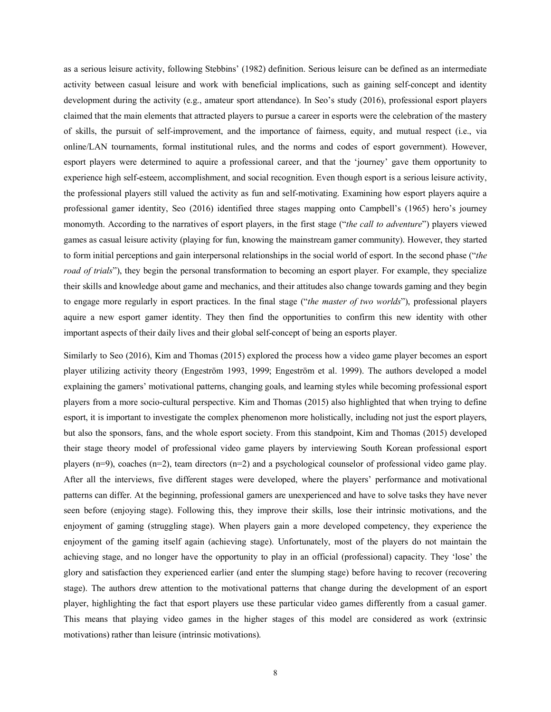as a serious leisure activity, following Stebbins' (1982) definition. Serious leisure can be defined as an intermediate activity between casual leisure and work with beneficial implications, such as gaining self-concept and identity development during the activity (e.g., amateur sport attendance). In Seo's study (2016), professional esport players claimed that the main elements that attracted players to pursue a career in esports were the celebration of the mastery of skills, the pursuit of self-improvement, and the importance of fairness, equity, and mutual respect (i.e., via online/LAN tournaments, formal institutional rules, and the norms and codes of esport government). However, esport players were determined to aquire a professional career, and that the 'journey' gave them opportunity to experience high self-esteem, accomplishment, and social recognition. Even though esport is a serious leisure activity, the professional players still valued the activity as fun and self-motivating. Examining how esport players aquire a professional gamer identity, Seo (2016) identified three stages mapping onto Campbell's (1965) hero's journey monomyth. According to the narratives of esport players, in the first stage ("*the call to adventure*") players viewed games as casual leisure activity (playing for fun, knowing the mainstream gamer community). However, they started to form initial perceptions and gain interpersonal relationships in the social world of esport. In the second phase ("*the road of trials*"), they begin the personal transformation to becoming an esport player. For example, they specialize their skills and knowledge about game and mechanics, and their attitudes also change towards gaming and they begin to engage more regularly in esport practices. In the final stage ("*the master of two worlds*"), professional players aquire a new esport gamer identity. They then find the opportunities to confirm this new identity with other important aspects of their daily lives and their global self-concept of being an esports player.

Similarly to Seo (2016), Kim and Thomas (2015) explored the process how a video game player becomes an esport player utilizing activity theory (Engeström 1993, 1999; Engeström et al. 1999). The authors developed a model explaining the gamers' motivational patterns, changing goals, and learning styles while becoming professional esport players from a more socio-cultural perspective. Kim and Thomas (2015) also highlighted that when trying to define esport, it is important to investigate the complex phenomenon more holistically, including not just the esport players, but also the sponsors, fans, and the whole esport society. From this standpoint, Kim and Thomas (2015) developed their stage theory model of professional video game players by interviewing South Korean professional esport players (n=9), coaches (n=2), team directors (n=2) and a psychological counselor of professional video game play. After all the interviews, five different stages were developed, where the players' performance and motivational patterns can differ. At the beginning, professional gamers are unexperienced and have to solve tasks they have never seen before (enjoying stage). Following this, they improve their skills, lose their intrinsic motivations, and the enjoyment of gaming (struggling stage). When players gain a more developed competency, they experience the enjoyment of the gaming itself again (achieving stage). Unfortunately, most of the players do not maintain the achieving stage, and no longer have the opportunity to play in an official (professional) capacity. They 'lose' the glory and satisfaction they experienced earlier (and enter the slumping stage) before having to recover (recovering stage). The authors drew attention to the motivational patterns that change during the development of an esport player, highlighting the fact that esport players use these particular video games differently from a casual gamer. This means that playing video games in the higher stages of this model are considered as work (extrinsic motivations) rather than leisure (intrinsic motivations).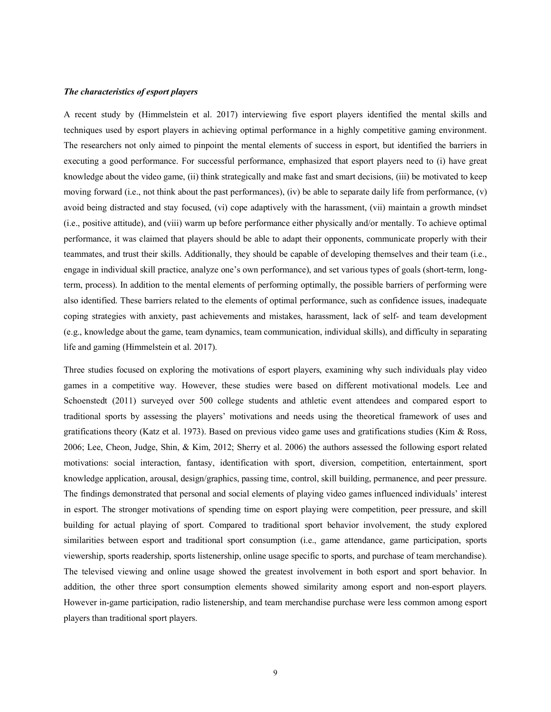#### *The characteristics of esport players*

A recent study by (Himmelstein et al. 2017) interviewing five esport players identified the mental skills and techniques used by esport players in achieving optimal performance in a highly competitive gaming environment. The researchers not only aimed to pinpoint the mental elements of success in esport, but identified the barriers in executing a good performance. For successful performance, emphasized that esport players need to (i) have great knowledge about the video game, (ii) think strategically and make fast and smart decisions, (iii) be motivated to keep moving forward (i.e., not think about the past performances), (iv) be able to separate daily life from performance, (v) avoid being distracted and stay focused, (vi) cope adaptively with the harassment, (vii) maintain a growth mindset (i.e., positive attitude), and (viii) warm up before performance either physically and/or mentally. To achieve optimal performance, it was claimed that players should be able to adapt their opponents, communicate properly with their teammates, and trust their skills. Additionally, they should be capable of developing themselves and their team (i.e., engage in individual skill practice, analyze one's own performance), and set various types of goals (short-term, longterm, process). In addition to the mental elements of performing optimally, the possible barriers of performing were also identified. These barriers related to the elements of optimal performance, such as confidence issues, inadequate coping strategies with anxiety, past achievements and mistakes, harassment, lack of self- and team development (e.g., knowledge about the game, team dynamics, team communication, individual skills), and difficulty in separating life and gaming (Himmelstein et al. 2017).

Three studies focused on exploring the motivations of esport players, examining why such individuals play video games in a competitive way. However, these studies were based on different motivational models. Lee and Schoenstedt (2011) surveyed over 500 college students and athletic event attendees and compared esport to traditional sports by assessing the players' motivations and needs using the theoretical framework of uses and gratifications theory (Katz et al. 1973). Based on previous video game uses and gratifications studies (Kim & Ross, 2006; Lee, Cheon, Judge, Shin, & Kim, 2012; Sherry et al. 2006) the authors assessed the following esport related motivations: social interaction, fantasy, identification with sport, diversion, competition, entertainment, sport knowledge application, arousal, design/graphics, passing time, control, skill building, permanence, and peer pressure. The findings demonstrated that personal and social elements of playing video games influenced individuals' interest in esport. The stronger motivations of spending time on esport playing were competition, peer pressure, and skill building for actual playing of sport. Compared to traditional sport behavior involvement, the study explored similarities between esport and traditional sport consumption (i.e., game attendance, game participation, sports viewership, sports readership, sports listenership, online usage specific to sports, and purchase of team merchandise). The televised viewing and online usage showed the greatest involvement in both esport and sport behavior. In addition, the other three sport consumption elements showed similarity among esport and non-esport players. However in-game participation, radio listenership, and team merchandise purchase were less common among esport players than traditional sport players.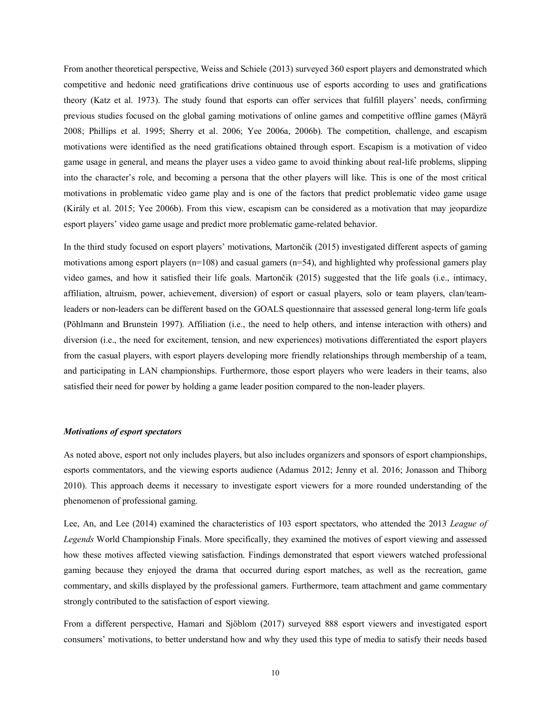From another theoretical perspective, Weiss and Schiele (2013) surveyed 360 esport players and demonstrated which competitive and hedonic need gratifications drive continuous use of esports according to uses and gratifications theory (Katz et al. 1973). The study found that esports can offer services that fulfill players' needs, confirming previous studies focused on the global gaming motivations of online games and competitive offline games (Mäyrä 2008; Phillips et al. 1995; Sherry et al. 2006; Yee 2006a, 2006b). The competition, challenge, and escapism motivations were identified as the need gratifications obtained through esport. Escapism is a motivation of video game usage in general, and means the player uses a video game to avoid thinking about real-life problems, slipping into the character's role, and becoming a persona that the other players will like. This is one of the most critical motivations in problematic video game play and is one of the factors that predict problematic video game usage (Király et al. 2015; Yee 2006b). From this view, escapism can be considered as a motivation that may jeopardize esport players' video game usage and predict more problematic game-related behavior.

In the third study focused on esport players' motivations, Martončik (2015) investigated different aspects of gaming motivations among esport players (n=108) and casual gamers (n=54), and highlighted why professional gamers play video games, and how it satisfied their life goals. Martončik (2015) suggested that the life goals (i.e., intimacy, affiliation, altruism, power, achievement, diversion) of esport or casual players, solo or team players, clan/teamleaders or non-leaders can be different based on the GOALS questionnaire that assessed general long-term life goals (Pöhlmann and Brunstein 1997). Affiliation (i.e., the need to help others, and intense interaction with others) and diversion (i.e., the need for excitement, tension, and new experiences) motivations differentiated the esport players from the casual players, with esport players developing more friendly relationships through membership of a team, and participating in LAN championships. Furthermore, those esport players who were leaders in their teams, also satisfied their need for power by holding a game leader position compared to the non-leader players.

#### *Motivations of esport spectators*

As noted above, esport not only includes players, but also includes organizers and sponsors of esport championships, esports commentators, and the viewing esports audience (Adamus 2012; Jenny et al. 2016; Jonasson and Thiborg 2010). This approach deems it necessary to investigate esport viewers for a more rounded understanding of the phenomenon of professional gaming.

Lee, An, and Lee (2014) examined the characteristics of 103 esport spectators, who attended the 2013 *League of Legends* World Championship Finals. More specifically, they examined the motives of esport viewing and assessed how these motives affected viewing satisfaction. Findings demonstrated that esport viewers watched professional gaming because they enjoyed the drama that occurred during esport matches, as well as the recreation, game commentary, and skills displayed by the professional gamers. Furthermore, team attachment and game commentary strongly contributed to the satisfaction of esport viewing.

From a different perspective, Hamari and Sjöblom (2017) surveyed 888 esport viewers and investigated esport consumers' motivations, to better understand how and why they used this type of media to satisfy their needs based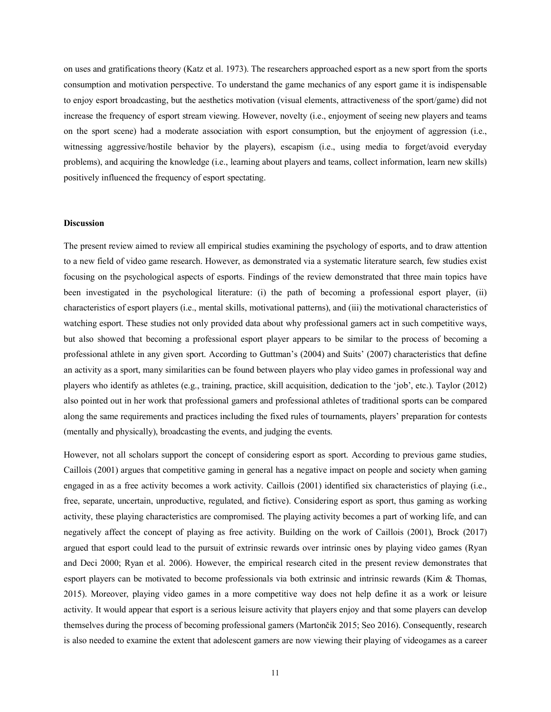on uses and gratifications theory (Katz et al. 1973). The researchers approached esport as a new sport from the sports consumption and motivation perspective. To understand the game mechanics of any esport game it is indispensable to enjoy esport broadcasting, but the aesthetics motivation (visual elements, attractiveness of the sport/game) did not increase the frequency of esport stream viewing. However, novelty (i.e., enjoyment of seeing new players and teams on the sport scene) had a moderate association with esport consumption, but the enjoyment of aggression (i.e., witnessing aggressive/hostile behavior by the players), escapism (i.e., using media to forget/avoid everyday problems), and acquiring the knowledge (i.e., learning about players and teams, collect information, learn new skills) positively influenced the frequency of esport spectating.

#### **Discussion**

The present review aimed to review all empirical studies examining the psychology of esports, and to draw attention to a new field of video game research. However, as demonstrated via a systematic literature search, few studies exist focusing on the psychological aspects of esports. Findings of the review demonstrated that three main topics have been investigated in the psychological literature: (i) the path of becoming a professional esport player, (ii) characteristics of esport players (i.e., mental skills, motivational patterns), and (iii) the motivational characteristics of watching esport. These studies not only provided data about why professional gamers act in such competitive ways, but also showed that becoming a professional esport player appears to be similar to the process of becoming a professional athlete in any given sport. According to Guttman's (2004) and Suits' (2007) characteristics that define an activity as a sport, many similarities can be found between players who play video games in professional way and players who identify as athletes (e.g., training, practice, skill acquisition, dedication to the 'job', etc.). Taylor (2012) also pointed out in her work that professional gamers and professional athletes of traditional sports can be compared along the same requirements and practices including the fixed rules of tournaments, players' preparation for contests (mentally and physically), broadcasting the events, and judging the events.

However, not all scholars support the concept of considering esport as sport. According to previous game studies, Caillois (2001) argues that competitive gaming in general has a negative impact on people and society when gaming engaged in as a free activity becomes a work activity. Caillois (2001) identified six characteristics of playing (i.e., free, separate, uncertain, unproductive, regulated, and fictive). Considering esport as sport, thus gaming as working activity, these playing characteristics are compromised. The playing activity becomes a part of working life, and can negatively affect the concept of playing as free activity. Building on the work of Caillois (2001), Brock (2017) argued that esport could lead to the pursuit of extrinsic rewards over intrinsic ones by playing video games (Ryan and Deci 2000; Ryan et al. 2006). However, the empirical research cited in the present review demonstrates that esport players can be motivated to become professionals via both extrinsic and intrinsic rewards (Kim & Thomas, 2015). Moreover, playing video games in a more competitive way does not help define it as a work or leisure activity. It would appear that esport is a serious leisure activity that players enjoy and that some players can develop themselves during the process of becoming professional gamers (Martončik 2015; Seo 2016). Consequently, research is also needed to examine the extent that adolescent gamers are now viewing their playing of videogames as a career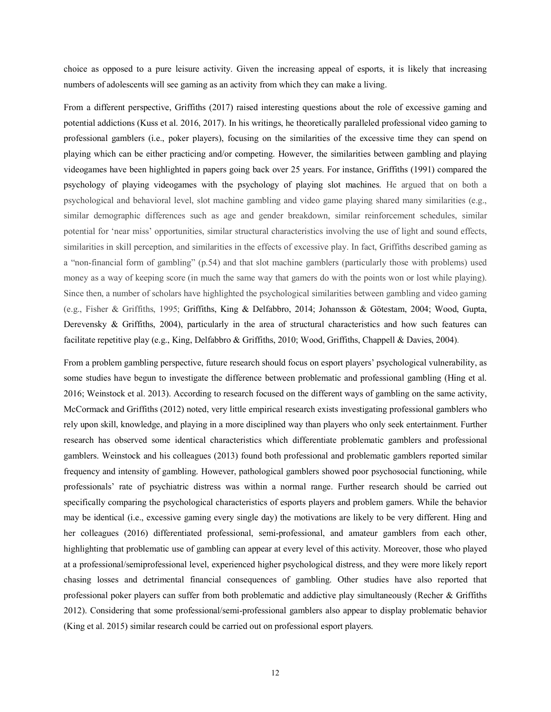choice as opposed to a pure leisure activity. Given the increasing appeal of esports, it is likely that increasing numbers of adolescents will see gaming as an activity from which they can make a living.

From a different perspective, Griffiths (2017) raised interesting questions about the role of excessive gaming and potential addictions (Kuss et al. 2016, 2017). In his writings, he theoretically paralleled professional video gaming to professional gamblers (i.e., poker players), focusing on the similarities of the excessive time they can spend on playing which can be either practicing and/or competing. However, the similarities between gambling and playing videogames have been highlighted in papers going back over 25 years. For instance, Griffiths (1991) compared the psychology of playing videogames with the psychology of playing slot machines. He argued that on both a psychological and behavioral level, slot machine gambling and video game playing shared many similarities (e.g., similar demographic differences such as age and gender breakdown, similar reinforcement schedules, similar potential for 'near miss' opportunities, similar structural characteristics involving the use of light and sound effects, similarities in skill perception, and similarities in the effects of excessive play. In fact, Griffiths described gaming as a "non-financial form of gambling" (p.54) and that slot machine gamblers (particularly those with problems) used money as a way of keeping score (in much the same way that gamers do with the points won or lost while playing). Since then, a number of scholars have highlighted the psychological similarities between gambling and video gaming (e.g., Fisher & Griffiths, 1995; Griffiths, King & Delfabbro, 2014; Johansson & Götestam, 2004; Wood, Gupta, Derevensky & Griffiths, 2004), particularly in the area of structural characteristics and how such features can facilitate repetitive play (e.g., King, Delfabbro & Griffiths, 2010; Wood, Griffiths, Chappell & Davies, 2004).

From a problem gambling perspective, future research should focus on esport players' psychological vulnerability, as some studies have begun to investigate the difference between problematic and professional gambling (Hing et al. 2016; Weinstock et al. 2013). According to research focused on the different ways of gambling on the same activity, McCormack and Griffiths (2012) noted, very little empirical research exists investigating professional gamblers who rely upon skill, knowledge, and playing in a more disciplined way than players who only seek entertainment. Further research has observed some identical characteristics which differentiate problematic gamblers and professional gamblers. Weinstock and his colleagues (2013) found both professional and problematic gamblers reported similar frequency and intensity of gambling. However, pathological gamblers showed poor psychosocial functioning, while professionals' rate of psychiatric distress was within a normal range. Further research should be carried out specifically comparing the psychological characteristics of esports players and problem gamers. While the behavior may be identical (i.e., excessive gaming every single day) the motivations are likely to be very different. Hing and her colleagues (2016) differentiated professional, semi-professional, and amateur gamblers from each other, highlighting that problematic use of gambling can appear at every level of this activity. Moreover, those who played at a professional/semiprofessional level, experienced higher psychological distress, and they were more likely report chasing losses and detrimental financial consequences of gambling. Other studies have also reported that professional poker players can suffer from both problematic and addictive play simultaneously (Recher & Griffiths 2012). Considering that some professional/semi-professional gamblers also appear to display problematic behavior (King et al. 2015) similar research could be carried out on professional esport players.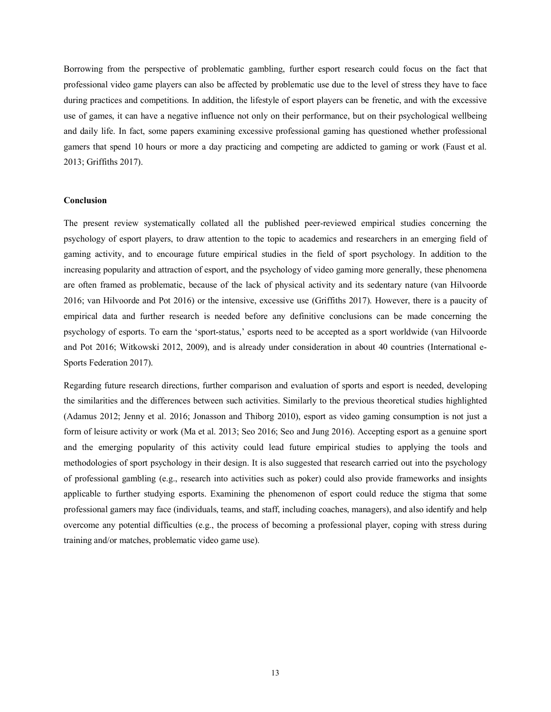Borrowing from the perspective of problematic gambling, further esport research could focus on the fact that professional video game players can also be affected by problematic use due to the level of stress they have to face during practices and competitions. In addition, the lifestyle of esport players can be frenetic, and with the excessive use of games, it can have a negative influence not only on their performance, but on their psychological wellbeing and daily life. In fact, some papers examining excessive professional gaming has questioned whether professional gamers that spend 10 hours or more a day practicing and competing are addicted to gaming or work (Faust et al. 2013; Griffiths 2017).

## **Conclusion**

The present review systematically collated all the published peer-reviewed empirical studies concerning the psychology of esport players, to draw attention to the topic to academics and researchers in an emerging field of gaming activity, and to encourage future empirical studies in the field of sport psychology. In addition to the increasing popularity and attraction of esport, and the psychology of video gaming more generally, these phenomena are often framed as problematic, because of the lack of physical activity and its sedentary nature (van Hilvoorde 2016; van Hilvoorde and Pot 2016) or the intensive, excessive use (Griffiths 2017). However, there is a paucity of empirical data and further research is needed before any definitive conclusions can be made concerning the psychology of esports. To earn the 'sport-status,' esports need to be accepted as a sport worldwide (van Hilvoorde and Pot 2016; Witkowski 2012, 2009), and is already under consideration in about 40 countries (International e-Sports Federation 2017).

Regarding future research directions, further comparison and evaluation of sports and esport is needed, developing the similarities and the differences between such activities. Similarly to the previous theoretical studies highlighted (Adamus 2012; Jenny et al. 2016; Jonasson and Thiborg 2010), esport as video gaming consumption is not just a form of leisure activity or work (Ma et al. 2013; Seo 2016; Seo and Jung 2016). Accepting esport as a genuine sport and the emerging popularity of this activity could lead future empirical studies to applying the tools and methodologies of sport psychology in their design. It is also suggested that research carried out into the psychology of professional gambling (e.g., research into activities such as poker) could also provide frameworks and insights applicable to further studying esports. Examining the phenomenon of esport could reduce the stigma that some professional gamers may face (individuals, teams, and staff, including coaches, managers), and also identify and help overcome any potential difficulties (e.g., the process of becoming a professional player, coping with stress during training and/or matches, problematic video game use).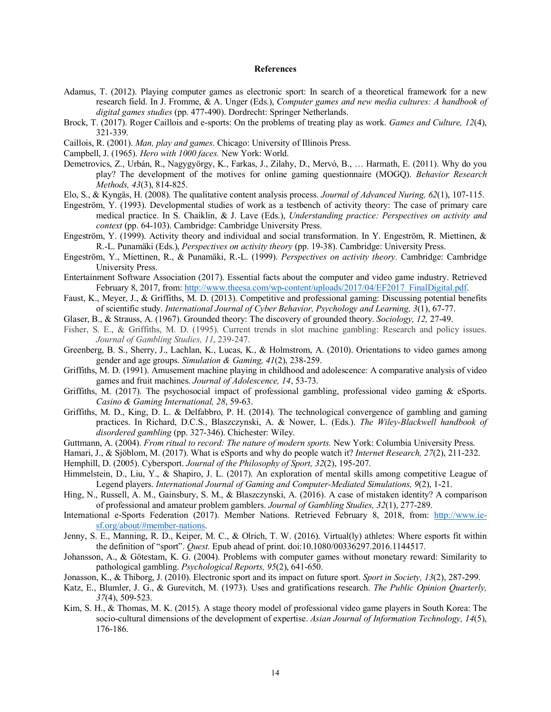## **References**

- Adamus, T. (2012). Playing computer games as electronic sport: In search of a theoretical framework for a new research field. In J. Fromme, & A. Unger (Eds.), *Computer games and new media cultures: A handbook of digital games studies* (pp. 477-490). Dordrecht: Springer Netherlands.
- Brock, T. (2017). Roger Caillois and e-sports: On the problems of treating play as work. *Games and Culture, 12*(4), 321-339.
- Caillois, R. (2001). *Man, play and games.* Chicago: University of Illinois Press.
- Campbell, J. (1965). *Hero with 1000 faces.* New York: World.
- Demetrovics, Z., Urbán, R., Nagygyörgy, K., Farkas, J., Zilahy, D., Mervó, B., … Harmath, E. (2011). Why do you play? The development of the motives for online gaming questionnaire (MOGQ). *Behavior Research Methods, 43*(3), 814-825.
- Elo, S., & Kyngäs, H. (2008). The qualitative content analysis process. *Journal of Advanced Nuring, 62*(1), 107-115.
- Engeström, Y. (1993). Developmental studies of work as a testbench of activity theory: The case of primary care medical practice. In S. Chaiklin, & J. Lave (Eds.), *Understanding practice: Perspectives on activity and context* (pp. 64-103). Cambridge: Cambridge University Press.
- Engeström, Y. (1999). Activity theory and individual and social transformation. In Y. Engeström, R. Miettinen, & R.-L. Punamäki (Eds.), *Perspectives on activity theory* (pp. 19-38). Cambridge: University Press.
- Engeström, Y., Miettinen, R., & Punamäki, R.-L. (1999). *Perspectives on activity theory.* Cambridge: Cambridge University Press.
- Entertainment Software Association (2017). Essential facts about the computer and video game industry. Retrieved February 8, 2017, from: http://www.theesa.com/wp-content/uploads/2017/04/EF2017\_FinalDigital.pdf.
- Faust, K., Meyer, J., & Griffiths, M. D. (2013). Competitive and professional gaming: Discussing potential benefits of scientific study. *International Journal of Cyber Behavior, Psychology and Learning, 3*(1), 67-77.
- Glaser, B., & Strauss, A. (1967). Grounded theory: The discovery of grounded theory. *Sociology, 12,* 27-49.
- Fisher, S. E., & Griffiths, M. D. (1995). Current trends in slot machine gambling: Research and policy issues. *Journal of Gambling Studies, 11*, 239-247.
- Greenberg, B. S., Sherry, J., Lachlan, K., Lucas, K., & Holmstrom, A. (2010). Orientations to video games among gender and age groups. *Simulation & Gaming, 41*(2), 238-259.
- Griffiths, M. D. (1991). Amusement machine playing in childhood and adolescence: A comparative analysis of video games and fruit machines. *Journal of Adolescence, 14*, 53-73.
- Griffiths, M. (2017). The psychosocial impact of professional gambling, professional video gaming & eSports. *Casino & Gaming International, 28*, 59-63.
- Griffiths, M. D., King, D. L. & Delfabbro, P. H. (2014). The technological convergence of gambling and gaming practices. In Richard, D.C.S., Blaszczynski, A. & Nower, L. (Eds.). *The Wiley-Blackwell handbook of disordered gambling* (pp. 327-346). Chichester: Wiley.
- Guttmann, A. (2004). *From ritual to record: The nature of modern sports.* New York: Columbia University Press.
- Hamari, J., & Sjöblom, M. (2017). What is eSports and why do people watch it? *Internet Research, 27*(2), 211-232.
- Hemphill, D. (2005). Cybersport. *Journal of the Philosophy of Sport, 32*(2), 195-207.
- Himmelstein, D., Liu, Y., & Shapiro, J. L. (2017). An exploration of mental skills among competitive League of Legend players. *International Journal of Gaming and Computer-Mediated Simulations, 9*(2), 1-21.
- Hing, N., Russell, A. M., Gainsbury, S. M., & Blaszczynski, A. (2016). A case of mistaken identity? A comparison of professional and amateur problem gamblers. *Journal of Gambling Studies, 32*(1), 277-289.
- International e-Sports Federation (2017). Member Nations. Retrieved February 8, 2018, from: http://www.iesf.org/about/#member-nations.
- Jenny, S. E., Manning, R. D., Keiper, M. C., & Olrich, T. W. (2016). Virtual(ly) athletes: Where esports fit within the definition of "sport". *Quest.* Epub ahead of print. doi:10.1080/00336297.2016.1144517.
- Johansson, A., & Götestam, K. G. (2004). Problems with computer games without monetary reward: Similarity to pathological gambling. *Psychological Reports, 95*(2), 641-650.
- Jonasson, K., & Thiborg, J. (2010). Electronic sport and its impact on future sport. *Sport in Society, 13*(2), 287-299.
- Katz, E., Blumler, J. G., & Gurevitch, M. (1973). Uses and gratifications research. *The Public Opinion Quarterly, 37*(4), 509-523.
- Kim, S. H., & Thomas, M. K. (2015). A stage theory model of professional video game players in South Korea: The socio-cultural dimensions of the development of expertise. *Asian Journal of Information Technology, 14*(5), 176-186.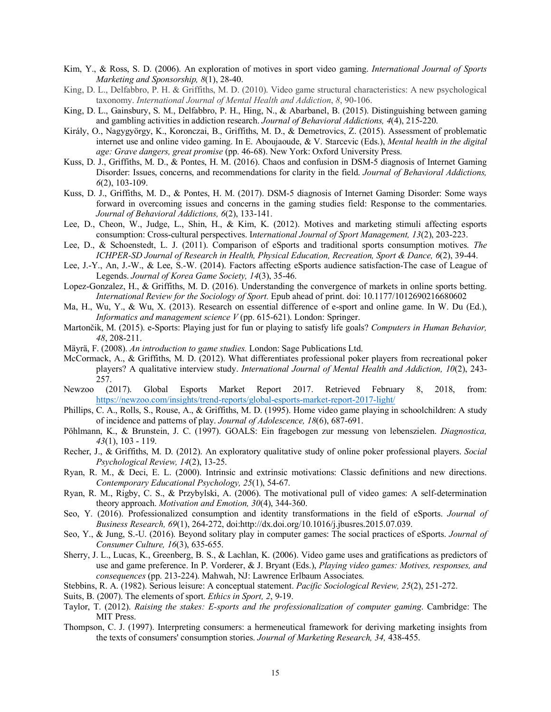- Kim, Y., & Ross, S. D. (2006). An exploration of motives in sport video gaming. *International Journal of Sports Marketing and Sponsorship, 8*(1), 28-40.
- King, D. L., Delfabbro, P. H. & Griffiths, M. D. (2010). Video game structural characteristics: A new psychological taxonomy. *International Journal of Mental Health and Addiction*, *8*, 90-106.
- King, D. L., Gainsbury, S. M., Delfabbro, P. H., Hing, N., & Abarbanel, B. (2015). Distinguishing between gaming and gambling activities in addiction research. *Journal of Behavioral Addictions, 4*(4), 215-220.
- Király, O., Nagygyörgy, K., Koronczai, B., Griffiths, M. D., & Demetrovics, Z. (2015). Assessment of problematic internet use and online video gaming. In E. Aboujaoude, & V. Starcevic (Eds.), *Mental health in the digital age: Grave dangers, great promise* (pp. 46-68). New York: Oxford University Press.
- Kuss, D. J., Griffiths, M. D., & Pontes, H. M. (2016). Chaos and confusion in DSM-5 diagnosis of Internet Gaming Disorder: Issues, concerns, and recommendations for clarity in the field. *Journal of Behavioral Addictions, 6*(2), 103-109.
- Kuss, D. J., Griffiths, M. D., & Pontes, H. M. (2017). DSM-5 diagnosis of Internet Gaming Disorder: Some ways forward in overcoming issues and concerns in the gaming studies field: Response to the commentaries. *Journal of Behavioral Addictions, 6*(2), 133-141.
- Lee, D., Cheon, W., Judge, L., Shin, H., & Kim, K. (2012). Motives and marketing stimuli affecting esports consumption: Cross-cultural perspectives. I*nternational Journal of Sport Management, 13*(2), 203-223.
- Lee, D., & Schoenstedt, L. J. (2011). Comparison of eSports and traditional sports consumption motives. *The ICHPER-SD Journal of Research in Health, Physical Education, Recreation, Sport & Dance, 6*(2), 39-44.
- Lee, J.-Y., An, J.-W., & Lee, S.-W. (2014). Factors affecting eSports audience satisfaction-The case of League of Legends. *Journal of Korea Game Society, 14*(3), 35-46.
- Lopez-Gonzalez, H., & Griffiths, M. D. (2016). Understanding the convergence of markets in online sports betting. *International Review for the Sociology of Sport.* Epub ahead of print. doi: 10.1177/1012690216680602
- Ma, H., Wu, Y., & Wu, X. (2013). Research on essential difference of e-sport and online game. In W. Du (Ed.), *Informatics and management science V* (pp. 615-621). London: Springer.
- Martončik, M. (2015). e-Sports: Playing just for fun or playing to satisfy life goals? *Computers in Human Behavior, 48*, 208-211.
- Mäyrä, F. (2008). *An introduction to game studies.* London: Sage Publications Ltd.
- McCormack, A., & Griffiths, M. D. (2012). What differentiates professional poker players from recreational poker players? A qualitative interview study. *International Journal of Mental Health and Addiction, 10*(2), 243- 257.
- Newzoo (2017). Global Esports Market Report 2017. Retrieved February 8, 2018, from: https://newzoo.com/insights/trend-reports/global-esports-market-report-2017-light/
- Phillips, C. A., Rolls, S., Rouse, A., & Griffiths, M. D. (1995). Home video game playing in schoolchildren: A study of incidence and patterns of play. *Journal of Adolescence, 18*(6), 687-691.
- Pöhlmann, K., & Brunstein, J. C. (1997). GOALS: Ein fragebogen zur messung von lebenszielen. *Diagnostica, 43*(1), 103 - 119.
- Recher, J., & Griffiths, M. D. (2012). An exploratory qualitative study of online poker professional players. *Social Psychological Review, 14*(2), 13-25.
- Ryan, R. M., & Deci, E. L. (2000). Intrinsic and extrinsic motivations: Classic definitions and new directions. *Contemporary Educational Psychology, 25*(1), 54-67.
- Ryan, R. M., Rigby, C. S., & Przybylski, A. (2006). The motivational pull of video games: A self-determination theory approach. *Motivation and Emotion, 30*(4), 344-360.
- Seo, Y. (2016). Professionalized consumption and identity transformations in the field of eSports. *Journal of Business Research, 69*(1), 264-272, doi:http://dx.doi.org/10.1016/j.jbusres.2015.07.039.
- Seo, Y., & Jung, S.-U. (2016). Beyond solitary play in computer games: The social practices of eSports. *Journal of Consumer Culture, 16*(3), 635-655.
- Sherry, J. L., Lucas, K., Greenberg, B. S., & Lachlan, K. (2006). Video game uses and gratifications as predictors of use and game preference. In P. Vorderer, & J. Bryant (Eds.), *Playing video games: Motives, responses, and consequences* (pp. 213-224). Mahwah, NJ: Lawrence Erlbaum Associates.
- Stebbins, R. A. (1982). Serious leisure: A conceptual statement. *Pacific Sociological Review, 25*(2), 251-272.
- Suits, B. (2007). The elements of sport. *Ethics in Sport, 2*, 9-19.
- Taylor, T. (2012). *Raising the stakes: E-sports and the professionalization of computer gaming*. Cambridge: The MIT Press.
- Thompson, C. J. (1997). Interpreting consumers: a hermeneutical framework for deriving marketing insights from the texts of consumers' consumption stories. *Journal of Marketing Research, 34,* 438-455.